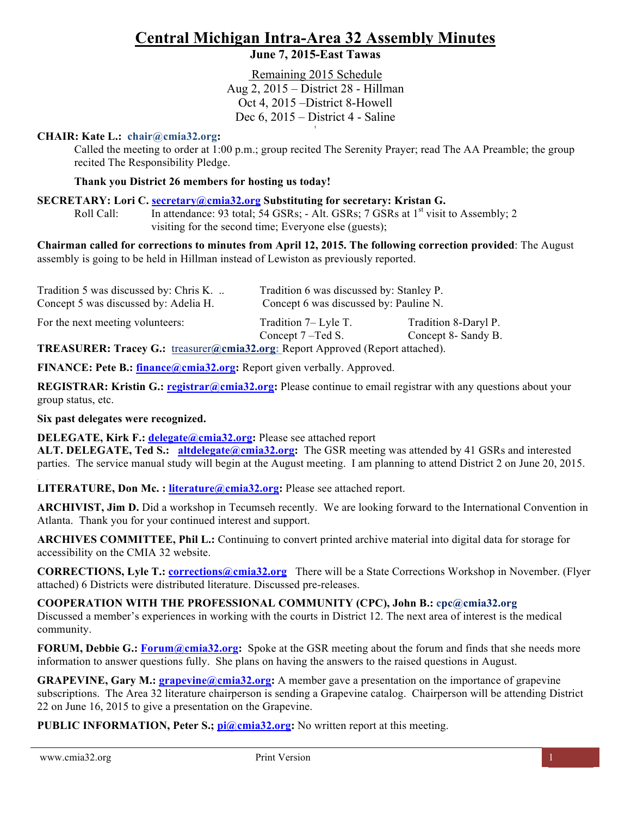## **Central Michigan Intra-Area 32 Assembly Minutes**

## **June 7, 2015-East Tawas**

 Remaining 2015 Schedule Aug 2, 2015 – District 28 - Hillman Oct 4, 2015 –District 8-Howell Dec 6, 2015 – District 4 - Saline t

#### **CHAIR: Kate L.: chair@cmia32.org:**

Called the meeting to order at 1:00 p.m.; group recited The Serenity Prayer; read The AA Preamble; the group recited The Responsibility Pledge.

#### **Thank you District 26 members for hosting us today!**

#### **SECRETARY: Lori C. secretary@cmia32.org Substituting for secretary: Kristan G.**

Roll Call: In attendance: 93 total; 54 GSRs; - Alt. GSRs; 7 GSRs at  $1<sup>st</sup>$  visit to Assembly; 2 visiting for the second time; Everyone else (guests);

**Chairman called for corrections to minutes from April 12, 2015. The following correction provided**: The August assembly is going to be held in Hillman instead of Lewiston as previously reported.

| Tradition 5 was discussed by: Chris K.<br>Concept 5 was discussed by: Adelia H.                                                                                                                                                     | Tradition 6 was discussed by: Stanley P.<br>Concept 6 was discussed by: Pauline N. |                                             |
|-------------------------------------------------------------------------------------------------------------------------------------------------------------------------------------------------------------------------------------|------------------------------------------------------------------------------------|---------------------------------------------|
| For the next meeting volunteers:                                                                                                                                                                                                    | Tradition 7– Lyle T.<br>Concept 7-Ted S.                                           | Tradition 8-Daryl P.<br>Concept 8- Sandy B. |
| <b>THE LOUDED TO A CONSTANTIVITY OF A CONSTANT CONSTANT OF A CONSTANT OF A CONSTANT OF A CONSTANT OF A CONSTANT OF A CONSTANT OF A CONSTANT OF A CONSTANT OF A CONSTANT OF A CONSTANT OF A CONSTANT OF A CONSTANT OF A CONSTANT</b> |                                                                                    |                                             |

**TREASURER: Tracey G.:** treasurer**@cmia32.org:** Report Approved (Report attached).

**FINANCE: Pete B.: finance@cmia32.org:** Report given verbally. Approved.

**REGISTRAR: Kristin G.: registrar@cmia32.org:** Please continue to email registrar with any questions about your group status, etc.

#### **Six past delegates were recognized.**

**DELEGATE, Kirk F.: <b>delegate@cmia32.org**: Please see attached report **ALT. DELEGATE, Ted S.: altdelegate@cmia32.org:** The GSR meeting was attended by 41 GSRs and interested parties. The service manual study will begin at the August meeting. I am planning to attend District 2 on June 20, 2015.

**LITERATURE, Don Mc. : literature@cmia32.org:** Please see attached report.

**ARCHIVIST, Jim D.** Did a workshop in Tecumseh recently. We are looking forward to the International Convention in Atlanta. Thank you for your continued interest and support.

**ARCHIVES COMMITTEE, Phil L.:** Continuing to convert printed archive material into digital data for storage for accessibility on the CMIA 32 website.

**CORRECTIONS, Lyle T.: corrections@cmia32.org** There will be a State Corrections Workshop in November. (Flyer attached) 6 Districts were distributed literature. Discussed pre-releases.

**COOPERATION WITH THE PROFESSIONAL COMMUNITY (CPC), John B.: cpc@cmia32.org** Discussed a member's experiences in working with the courts in District 12. The next area of interest is the medical community.

**FORUM, Debbie G.: Forum@cmia32.org:** Spoke at the GSR meeting about the forum and finds that she needs more information to answer questions fully. She plans on having the answers to the raised questions in August.

**GRAPEVINE, Gary M.:** *grapevine@cmia32.org***:** A member gave a presentation on the importance of grapevine subscriptions. The Area 32 literature chairperson is sending a Grapevine catalog. Chairperson will be attending District 22 on June 16, 2015 to give a presentation on the Grapevine.

**PUBLIC INFORMATION, Peter S.; pi@cmia32.org:** No written report at this meeting.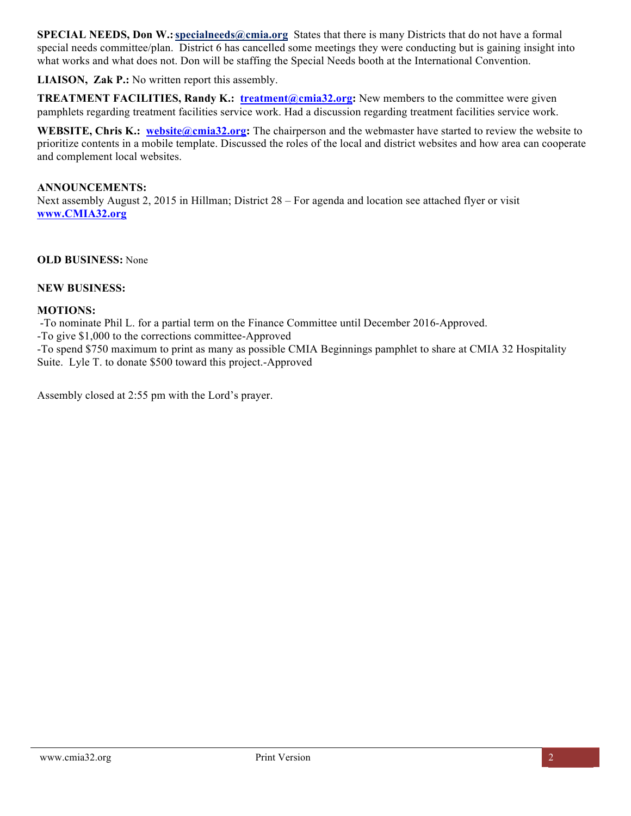**SPECIAL NEEDS, Don W.:`specialneeds@cmia.org** States that there is many Districts that do not have a formal special needs committee/plan. District 6 has cancelled some meetings they were conducting but is gaining insight into what works and what does not. Don will be staffing the Special Needs booth at the International Convention.

**LIAISON, Zak P.:** No written report this assembly.

**TREATMENT FACILITIES, Randy K.: treatment@cmia32.org:** New members to the committee were given pamphlets regarding treatment facilities service work. Had a discussion regarding treatment facilities service work.

**WEBSITE, Chris K.: website@cmia32.org:** The chairperson and the webmaster have started to review the website to prioritize contents in a mobile template. Discussed the roles of the local and district websites and how area can cooperate and complement local websites.

#### **ANNOUNCEMENTS:** Next assembly August 2, 2015 in Hillman; District 28 – For agenda and location see attached flyer or visit **www.CMIA32.org**

**OLD BUSINESS:** None

#### **NEW BUSINESS:**

#### **MOTIONS:**

-To nominate Phil L. for a partial term on the Finance Committee until December 2016-Approved.

-To give \$1,000 to the corrections committee-Approved

-To spend \$750 maximum to print as many as possible CMIA Beginnings pamphlet to share at CMIA 32 Hospitality Suite. Lyle T. to donate \$500 toward this project.-Approved

Assembly closed at 2:55 pm with the Lord's prayer.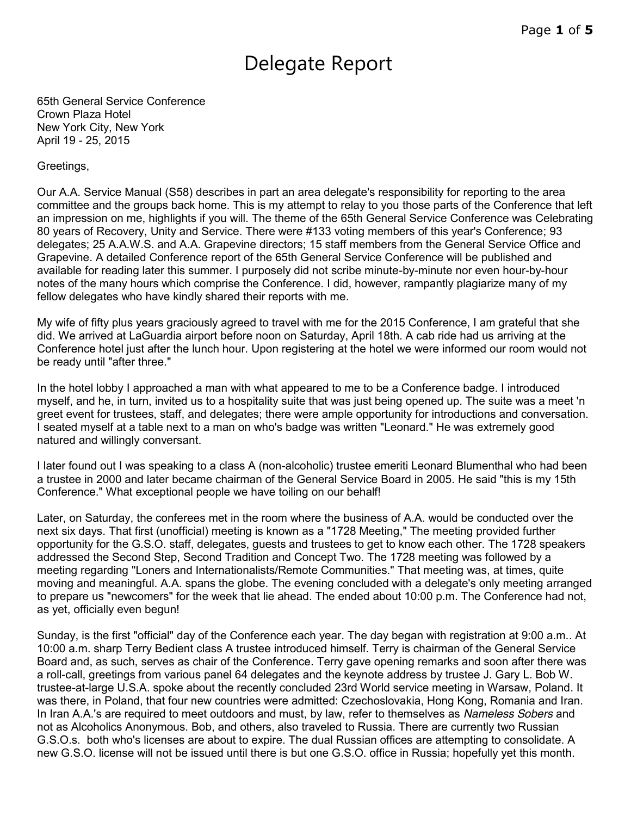# Delegate Report

65th General Service Conference Crown Plaza Hotel New York City, New York April 19 - 25, 2015

#### Greetings,

Our A.A. Service Manual (S58) describes in part an area delegate's responsibility for reporting to the area committee and the groups back home. This is my attempt to relay to you those parts of the Conference that left an impression on me, highlights if you will. The theme of the 65th General Service Conference was Celebrating 80 years of Recovery, Unity and Service. There were #133 voting members of this year's Conference; 93 delegates; 25 A.A.W.S. and A.A. Grapevine directors; 15 staff members from the General Service Office and Grapevine. A detailed Conference report of the 65th General Service Conference will be published and available for reading later this summer. I purposely did not scribe minute-by-minute nor even hour-by-hour notes of the many hours which comprise the Conference. I did, however, rampantly plagiarize many of my fellow delegates who have kindly shared their reports with me.

My wife of fifty plus years graciously agreed to travel with me for the 2015 Conference, I am grateful that she did. We arrived at LaGuardia airport before noon on Saturday, April 18th. A cab ride had us arriving at the Conference hotel just after the lunch hour. Upon registering at the hotel we were informed our room would not be ready until "after three."

In the hotel lobby I approached a man with what appeared to me to be a Conference badge. I introduced myself, and he, in turn, invited us to a hospitality suite that was just being opened up. The suite was a meet 'n greet event for trustees, staff, and delegates; there were ample opportunity for introductions and conversation. I seated myself at a table next to a man on who's badge was written "Leonard." He was extremely good natured and willingly conversant.

I later found out I was speaking to a class A (non-alcoholic) trustee emeriti Leonard Blumenthal who had been a trustee in 2000 and later became chairman of the General Service Board in 2005. He said "this is my 15th Conference." What exceptional people we have toiling on our behalf!

Later, on Saturday, the conferees met in the room where the business of A.A. would be conducted over the next six days. That first (unofficial) meeting is known as a "1728 Meeting," The meeting provided further opportunity for the G.S.O. staff, delegates, guests and trustees to get to know each other. The 1728 speakers addressed the Second Step, Second Tradition and Concept Two. The 1728 meeting was followed by a meeting regarding "Loners and Internationalists/Remote Communities." That meeting was, at times, quite moving and meaningful. A.A. spans the globe. The evening concluded with a delegate's only meeting arranged to prepare us "newcomers" for the week that lie ahead. The ended about 10:00 p.m. The Conference had not, as yet, officially even begun!

Sunday, is the first "official" day of the Conference each year. The day began with registration at 9:00 a.m.. At 10:00 a.m. sharp Terry Bedient class A trustee introduced himself. Terry is chairman of the General Service Board and, as such, serves as chair of the Conference. Terry gave opening remarks and soon after there was a roll-call, greetings from various panel 64 delegates and the keynote address by trustee J. Gary L. Bob W. trustee-at-large U.S.A. spoke about the recently concluded 23rd World service meeting in Warsaw, Poland. It was there, in Poland, that four new countries were admitted: Czechoslovakia, Hong Kong, Romania and Iran. In Iran A.A.'s are required to meet outdoors and must, by law, refer to themselves as *Nameless Sobers* and not as Alcoholics Anonymous. Bob, and others, also traveled to Russia. There are currently two Russian G.S.O.s. both who's licenses are about to expire. The dual Russian offices are attempting to consolidate. A new G.S.O. license will not be issued until there is but one G.S.O. office in Russia; hopefully yet this month.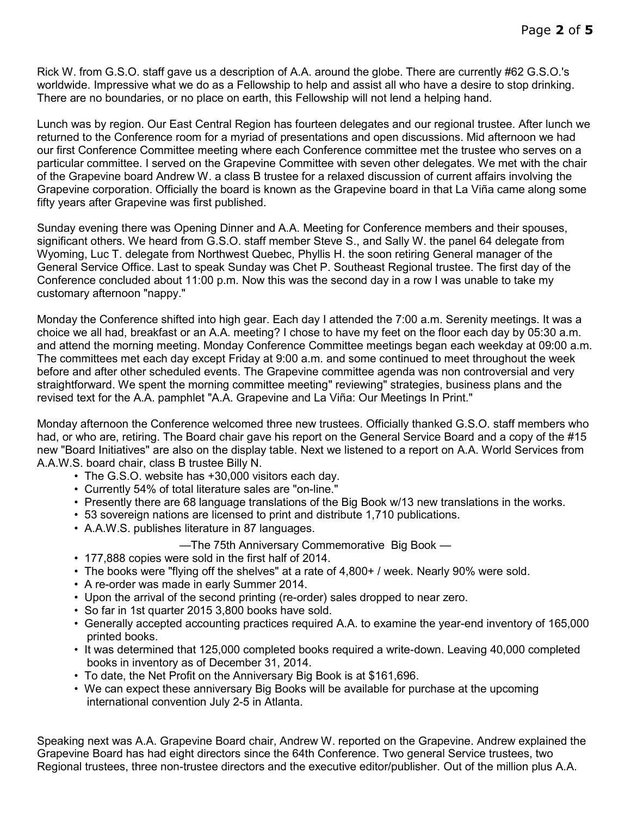Rick W. from G.S.O. staff gave us a description of A.A. around the globe. There are currently #62 G.S.O.'s worldwide. Impressive what we do as a Fellowship to help and assist all who have a desire to stop drinking. There are no boundaries, or no place on earth, this Fellowship will not lend a helping hand.

Lunch was by region. Our East Central Region has fourteen delegates and our regional trustee. After lunch we returned to the Conference room for a myriad of presentations and open discussions. Mid afternoon we had our first Conference Committee meeting where each Conference committee met the trustee who serves on a particular committee. I served on the Grapevine Committee with seven other delegates. We met with the chair of the Grapevine board Andrew W. a class B trustee for a relaxed discussion of current affairs involving the Grapevine corporation. Officially the board is known as the Grapevine board in that La Viña came along some fifty years after Grapevine was first published.

Sunday evening there was Opening Dinner and A.A. Meeting for Conference members and their spouses, significant others. We heard from G.S.O. staff member Steve S., and Sally W. the panel 64 delegate from Wyoming, Luc T. delegate from Northwest Quebec, Phyllis H. the soon retiring General manager of the General Service Office. Last to speak Sunday was Chet P. Southeast Regional trustee. The first day of the Conference concluded about 11:00 p.m. Now this was the second day in a row I was unable to take my customary afternoon "nappy."

Monday the Conference shifted into high gear. Each day I attended the 7:00 a.m. Serenity meetings. It was a choice we all had, breakfast or an A.A. meeting? I chose to have my feet on the floor each day by 05:30 a.m. and attend the morning meeting. Monday Conference Committee meetings began each weekday at 09:00 a.m. The committees met each day except Friday at 9:00 a.m. and some continued to meet throughout the week before and after other scheduled events. The Grapevine committee agenda was non controversial and very straightforward. We spent the morning committee meeting" reviewing" strategies, business plans and the revised text for the A.A. pamphlet "A.A. Grapevine and La Viña: Our Meetings In Print."

Monday afternoon the Conference welcomed three new trustees. Officially thanked G.S.O. staff members who had, or who are, retiring. The Board chair gave his report on the General Service Board and a copy of the #15 new "Board Initiatives" are also on the display table. Next we listened to a report on A.A. World Services from A.A.W.S. board chair, class B trustee Billy N.

- The G.S.O. website has +30,000 visitors each day.
- Currently 54% of total literature sales are "on-line."
- Presently there are 68 language translations of the Big Book w/13 new translations in the works.
- 53 sovereign nations are licensed to print and distribute 1,710 publications.
- A.A.W.S. publishes literature in 87 languages.

—The 75th Anniversary Commemorative Big Book —

- 177,888 copies were sold in the first half of 2014.
- The books were "flying off the shelves" at a rate of 4,800+ / week. Nearly 90% were sold.
- A re-order was made in early Summer 2014.
- Upon the arrival of the second printing (re-order) sales dropped to near zero.
- So far in 1st quarter 2015 3,800 books have sold.
- Generally accepted accounting practices required A.A. to examine the year-end inventory of 165,000 printed books.
- It was determined that 125,000 completed books required a write-down. Leaving 40,000 completed books in inventory as of December 31, 2014.
- To date, the Net Profit on the Anniversary Big Book is at \$161,696.
- We can expect these anniversary Big Books will be available for purchase at the upcoming international convention July 2-5 in Atlanta.

Speaking next was A.A. Grapevine Board chair, Andrew W. reported on the Grapevine. Andrew explained the Grapevine Board has had eight directors since the 64th Conference. Two general Service trustees, two Regional trustees, three non-trustee directors and the executive editor/publisher. Out of the million plus A.A.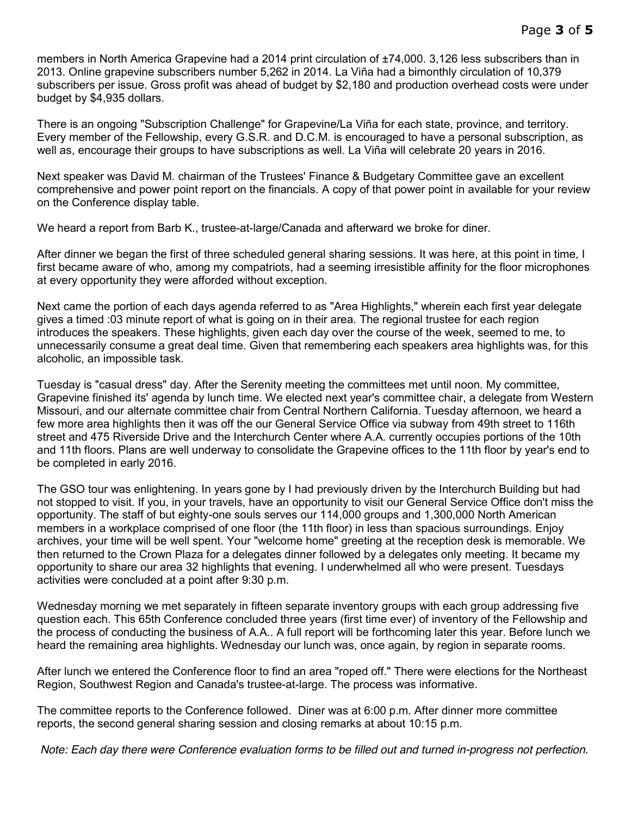members in North America Grapevine had a 2014 print circulation of ±74,000. 3,126 less subscribers than in 2013. Online grapevine subscribers number 5,262 in 2014. La Viña had a bimonthly circulation of 10,379 subscribers per issue. Gross profit was ahead of budget by \$2,180 and production overhead costs were under budget by \$4,935 dollars.

There is an ongoing "Subscription Challenge" for Grapevine/La Viña for each state, province, and territory. Every member of the Fellowship, every G.S.R. and D.C.M. is encouraged to have a personal subscription, as well as, encourage their groups to have subscriptions as well. La Viña will celebrate 20 years in 2016.

Next speaker was David M. chairman of the Trustees' Finance & Budgetary Committee gave an excellent comprehensive and power point report on the financials. A copy of that power point in available for your review on the Conference display table.

We heard a report from Barb K., trustee-at-large/Canada and afterward we broke for diner.

After dinner we began the first of three scheduled general sharing sessions. It was here, at this point in time, I first became aware of who, among my compatriots, had a seeming irresistible affinity for the floor microphones at every opportunity they were afforded without exception.

Next came the portion of each days agenda referred to as "Area Highlights," wherein each first year delegate gives a timed :03 minute report of what is going on in their area. The regional trustee for each region introduces the speakers. These highlights, given each day over the course of the week, seemed to me, to unnecessarily consume a great deal time. Given that remembering each speakers area highlights was, for this alcoholic, an impossible task.

Tuesday is "casual dress" day. After the Serenity meeting the committees met until noon. My committee, Grapevine finished its' agenda by lunch time. We elected next year's committee chair, a delegate from Western Missouri, and our alternate committee chair from Central Northern California. Tuesday afternoon, we heard a few more area highlights then it was off the our General Service Office via subway from 49th street to 116th street and 475 Riverside Drive and the Interchurch Center where A.A. currently occupies portions of the 10th and 11th floors. Plans are well underway to consolidate the Grapevine offices to the 11th floor by year's end to be completed in early 2016.

The GSO tour was enlightening. In years gone by I had previously driven by the Interchurch Building but had not stopped to visit. If you, in your travels, have an opportunity to visit our General Service Office don't miss the opportunity. The staff of but eighty-one souls serves our 114,000 groups and 1,300,000 North American members in a workplace comprised of one floor (the 11th floor) in less than spacious surroundings. Enjoy archives, your time will be well spent. Your "welcome home" greeting at the reception desk is memorable. We then returned to the Crown Plaza for a delegates dinner followed by a delegates only meeting. It became my opportunity to share our area 32 highlights that evening. I underwhelmed all who were present. Tuesdays activities were concluded at a point after 9:30 p.m.

Wednesday morning we met separately in fifteen separate inventory groups with each group addressing five question each. This 65th Conference concluded three years (first time ever) of inventory of the Fellowship and the process of conducting the business of A.A.. A full report will be forthcoming later this year. Before lunch we heard the remaining area highlights. Wednesday our lunch was, once again, by region in separate rooms.

After lunch we entered the Conference floor to find an area "roped off." There were elections for the Northeast Region, Southwest Region and Canada's trustee-at-large. The process was informative.

The committee reports to the Conference followed. Diner was at 6:00 p.m. After dinner more committee reports, the second general sharing session and closing remarks at about 10:15 p.m.

*Note: Each day there were Conference evaluation forms to be filled out and turned in-progress not perfection.*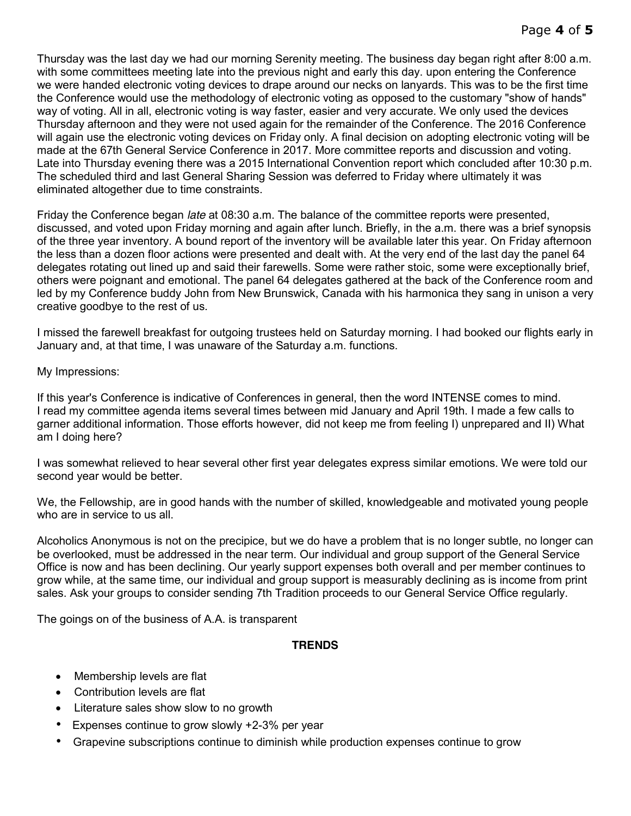Thursday was the last day we had our morning Serenity meeting. The business day began right after 8:00 a.m. with some committees meeting late into the previous night and early this day. upon entering the Conference we were handed electronic voting devices to drape around our necks on lanyards. This was to be the first time the Conference would use the methodology of electronic voting as opposed to the customary "show of hands" way of voting. All in all, electronic voting is way faster, easier and very accurate. We only used the devices Thursday afternoon and they were not used again for the remainder of the Conference. The 2016 Conference will again use the electronic voting devices on Friday only. A final decision on adopting electronic voting will be made at the 67th General Service Conference in 2017. More committee reports and discussion and voting. Late into Thursday evening there was a 2015 International Convention report which concluded after 10:30 p.m. The scheduled third and last General Sharing Session was deferred to Friday where ultimately it was eliminated altogether due to time constraints.

Friday the Conference began *late* at 08:30 a.m. The balance of the committee reports were presented, discussed, and voted upon Friday morning and again after lunch. Briefly, in the a.m. there was a brief synopsis of the three year inventory. A bound report of the inventory will be available later this year. On Friday afternoon the less than a dozen floor actions were presented and dealt with. At the very end of the last day the panel 64 delegates rotating out lined up and said their farewells. Some were rather stoic, some were exceptionally brief, others were poignant and emotional. The panel 64 delegates gathered at the back of the Conference room and led by my Conference buddy John from New Brunswick, Canada with his harmonica they sang in unison a very creative goodbye to the rest of us.

I missed the farewell breakfast for outgoing trustees held on Saturday morning. I had booked our flights early in January and, at that time, I was unaware of the Saturday a.m. functions.

My Impressions:

If this year's Conference is indicative of Conferences in general, then the word INTENSE comes to mind. I read my committee agenda items several times between mid January and April 19th. I made a few calls to garner additional information. Those efforts however, did not keep me from feeling I) unprepared and II) What am I doing here?

I was somewhat relieved to hear several other first year delegates express similar emotions. We were told our second year would be better.

We, the Fellowship, are in good hands with the number of skilled, knowledgeable and motivated young people who are in service to us all.

Alcoholics Anonymous is not on the precipice, but we do have a problem that is no longer subtle, no longer can be overlooked, must be addressed in the near term. Our individual and group support of the General Service Office is now and has been declining. Our yearly support expenses both overall and per member continues to grow while, at the same time, our individual and group support is measurably declining as is income from print sales. Ask your groups to consider sending 7th Tradition proceeds to our General Service Office regularly.

The goings on of the business of A.A. is transparent

#### **TRENDS**

- Membership levels are flat
- Contribution levels are flat
- Literature sales show slow to no growth
- Expenses continue to grow slowly +2-3% per year
- Grapevine subscriptions continue to diminish while production expenses continue to grow